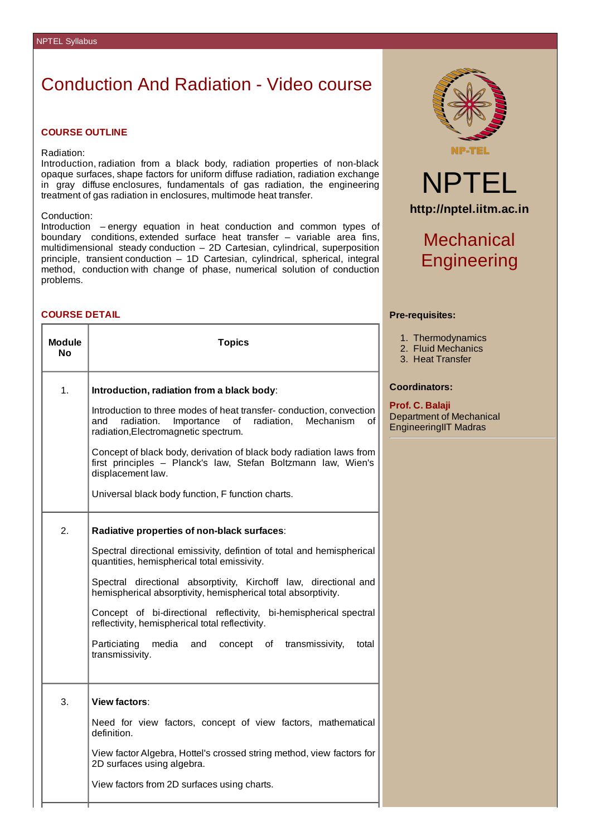# Conduction And Radiation - Video course

### **COURSE OUTLINE**

#### Radiation:

Introduction, radiation from a black body, radiation properties of non-black opaque surfaces, shape factors for uniform diffuse radiation, radiation exchange in gray diffuse enclosures, fundamentals of gas radiation, the engineering treatment of gas radiation in enclosures, multimode heat transfer.

### Conduction:

Introduction – energy equation in heat conduction and common types of boundary conditions, extended surface heat transfer – variable area fins, multidimensional steady conduction – 2D Cartesian, cylindrical, superposition principle, transient conduction – 1D Cartesian, cylindrical, spherical, integral method, conduction with change of phase, numerical solution of conduction problems.

### **COURSE DETAIL**

| <b>Module</b><br>Nο | <b>Topics</b>                                                                                                                                                                |
|---------------------|------------------------------------------------------------------------------------------------------------------------------------------------------------------------------|
| 1.                  | Introduction, radiation from a black body:                                                                                                                                   |
|                     | Introduction to three modes of heat transfer-conduction, convection<br>of<br>and radiation. Importance of<br>radiation,<br>Mechanism<br>radiation, Electromagnetic spectrum. |
|                     | Concept of black body, derivation of black body radiation laws from<br>first principles - Planck's law, Stefan Boltzmann law, Wien's<br>displacement law.                    |
|                     | Universal black body function, F function charts.                                                                                                                            |
| 2.                  | Radiative properties of non-black surfaces:                                                                                                                                  |
|                     | Spectral directional emissivity, defintion of total and hemispherical<br>quantities, hemispherical total emissivity.                                                         |
|                     | Spectral directional absorptivity, Kirchoff law, directional and<br>hemispherical absorptivity, hemispherical total absorptivity.                                            |
|                     | Concept of bi-directional reflectivity, bi-hemispherical spectral<br>reflectivity, hemispherical total reflectivity.                                                         |
|                     | Particiating<br>media and<br>concept of transmissivity,<br>total<br>transmissivity.                                                                                          |
| 3.                  | View factors:                                                                                                                                                                |
|                     | Need for view factors, concept of view factors, mathematical<br>definition.                                                                                                  |
|                     | View factor Algebra, Hottel's crossed string method, view factors for<br>2D surfaces using algebra.                                                                          |
|                     | View factors from 2D surfaces using charts.                                                                                                                                  |



# NPTEL **http://nptel.iitm.ac.in**

# Mechanical **Engineering**

### **Pre-requisites:**

- 1. Thermodynamics
- 2. Fluid Mechanics
- 3. Heat Transfer

### **Coordinators:**

**Prof. C. Balaji** Department of Mechanical EngineeringIIT Madras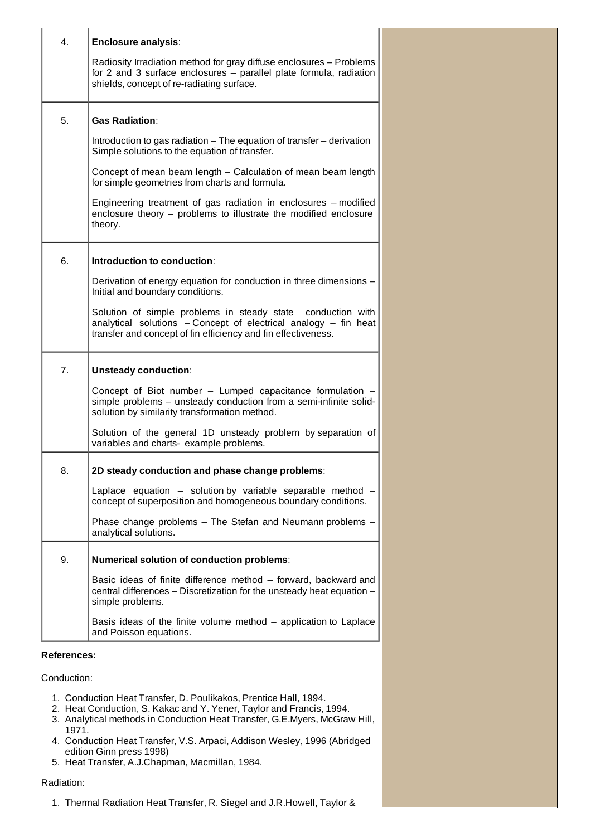| 4.          | <b>Enclosure analysis:</b><br>Radiosity Irradiation method for gray diffuse enclosures - Problems<br>for 2 and 3 surface enclosures - parallel plate formula, radiation<br>shields, concept of re-radiating surface.    |  |  |
|-------------|-------------------------------------------------------------------------------------------------------------------------------------------------------------------------------------------------------------------------|--|--|
| 5.          | <b>Gas Radiation:</b><br>Introduction to gas radiation – The equation of transfer – derivation<br>Simple solutions to the equation of transfer.<br>Concept of mean beam length – Calculation of mean beam length        |  |  |
|             | for simple geometries from charts and formula.<br>Engineering treatment of gas radiation in enclosures - modified<br>enclosure theory - problems to illustrate the modified enclosure<br>theory.                        |  |  |
| 6.          | Introduction to conduction:                                                                                                                                                                                             |  |  |
|             | Derivation of energy equation for conduction in three dimensions -<br>Initial and boundary conditions.                                                                                                                  |  |  |
|             | Solution of simple problems in steady state conduction with<br>analytical solutions - Concept of electrical analogy - fin heat<br>transfer and concept of fin efficiency and fin effectiveness.                         |  |  |
| 7.          | <b>Unsteady conduction:</b>                                                                                                                                                                                             |  |  |
|             | Concept of Biot number - Lumped capacitance formulation<br>simple problems - unsteady conduction from a semi-infinite solid-<br>solution by similarity transformation method.                                           |  |  |
|             | Solution of the general 1D unsteady problem by separation of<br>variables and charts- example problems.                                                                                                                 |  |  |
| 8.          | 2D steady conduction and phase change problems:                                                                                                                                                                         |  |  |
|             | Laplace equation - solution by variable separable method<br>concept of superposition and homogeneous boundary conditions.                                                                                               |  |  |
|             | Phase change problems - The Stefan and Neumann problems -<br>analytical solutions.                                                                                                                                      |  |  |
| 9.          | Numerical solution of conduction problems:                                                                                                                                                                              |  |  |
|             | Basic ideas of finite difference method – forward, backward and<br>central differences - Discretization for the unsteady heat equation -<br>simple problems.                                                            |  |  |
|             | Basis ideas of the finite volume method - application to Laplace<br>and Poisson equations.                                                                                                                              |  |  |
|             | <b>References:</b>                                                                                                                                                                                                      |  |  |
| Conduction: |                                                                                                                                                                                                                         |  |  |
|             | 1. Conduction Heat Transfer, D. Poulikakos, Prentice Hall, 1994.<br>2. Heat Conduction, S. Kakac and Y. Yener, Taylor and Francis, 1994.<br>3. Analytical methods in Conduction Heat Transfer, G.E. Myers, McGraw Hill, |  |  |

- 1971. 4. Conduction Heat Transfer, V.S. Arpaci, Addison Wesley, 1996 (Abridged edition Ginn press 1998)
- 5. Heat Transfer, A.J.Chapman, Macmillan, 1984.

### Radiation:

1. Thermal Radiation Heat Transfer, R. Siegel and J.R.Howell, Taylor &